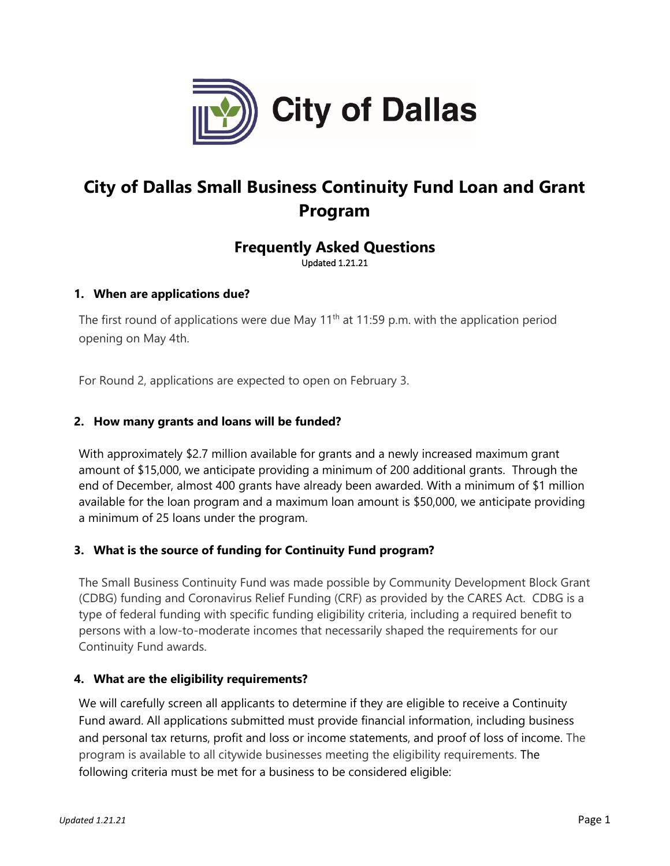

# **City of Dallas Small Business Continuity Fund Loan and Grant Program**

# **Frequently Asked Questions** Updated 1.21.21

### **1. When are applications due?**

The first round of applications were due May  $11^{th}$  at 11:59 p.m. with the application period opening on May 4th.

For Round 2, applications are expected to open on February 3.

### **2. How many grants and loans will be funded?**

With approximately \$2.7 million available for grants and a newly increased maximum grant amount of \$15,000, we anticipate providing a minimum of 200 additional grants. Through the end of December, almost 400 grants have already been awarded. With a minimum of \$1 million available for the loan program and a maximum loan amount is \$50,000, we anticipate providing a minimum of 25 loans under the program.

# **3. What is the source of funding for Continuity Fund program?**

The Small Business Continuity Fund was made possible by Community Development Block Grant (CDBG) funding and Coronavirus Relief Funding (CRF) as provided by the CARES Act. CDBG is a type of federal funding with specific funding eligibility criteria, including a required benefit to persons with a low-to-moderate incomes that necessarily shaped the requirements for our Continuity Fund awards.

### **4. What are the eligibility requirements?**

We will carefully screen all applicants to determine if they are eligible to receive a Continuity Fund award. All applications submitted must provide financial information, including business and personal tax returns, profit and loss or income statements, and proof of loss of income. The program is available to all citywide businesses meeting the eligibility requirements. The following criteria must be met for a business to be considered eligible: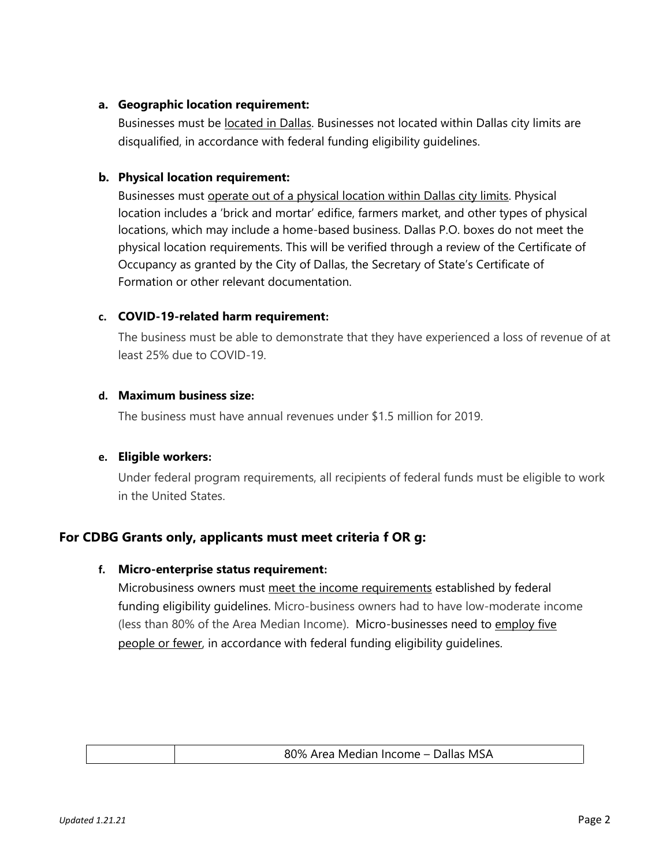### **a. Geographic location requirement:**

Businesses must be **located in Dallas**. Businesses not located within Dallas city limits are disqualified, in accordance with federal funding eligibility guidelines.

### **b. Physical location requirement:**

Businesses must operate out of a physical location within Dallas city limits. Physical location includes a 'brick and mortar' edifice, farmers market, and other types of physical locations, which may include a home-based business. Dallas P.O. boxes do not meet the physical location requirements. This will be verified through a review of the Certificate of Occupancy as granted by the City of Dallas, the Secretary of State's Certificate of Formation or other relevant documentation.

### **c. COVID-19-related harm requirement:**

The business must be able to demonstrate that they have experienced a loss of revenue of at least 25% due to COVID-19.

### **d. Maximum business size:**

The business must have annual revenues under \$1.5 million for 2019.

### **e. Eligible workers:**

Under federal program requirements, all recipients of federal funds must be eligible to work in the United States.

# **For CDBG Grants only, applicants must meet criteria f OR g:**

### **f. Micro-enterprise status requirement:**

Microbusiness owners must meet the income requirements established by federal funding eligibility guidelines. Micro-business owners had to have low-moderate income (less than 80% of the Area Median Income). Micro-businesses need to employ five people or fewer, in accordance with federal funding eligibility guidelines.

| 80% Area Median Income - Dallas MSA |
|-------------------------------------|
|                                     |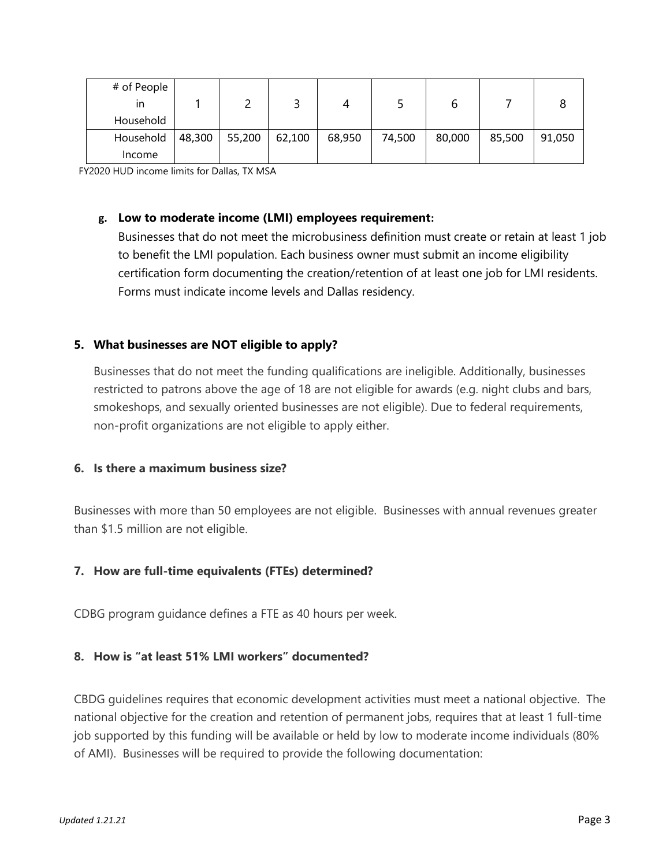| # of People<br>ın |        |        |        |        |        |        |        |        |
|-------------------|--------|--------|--------|--------|--------|--------|--------|--------|
| Household         |        |        |        |        |        |        |        |        |
| Household         | 48,300 | 55,200 | 62,100 | 68,950 | 74,500 | 80,000 | 85,500 | 91,050 |
| Income            |        |        |        |        |        |        |        |        |

FY2020 HUD income limits for Dallas, TX MSA

#### **g. Low to moderate income (LMI) employees requirement:**

Businesses that do not meet the microbusiness definition must create or retain at least 1 job to benefit the LMI population. Each business owner must submit an income eligibility certification form documenting the creation/retention of at least one job for LMI residents. Forms must indicate income levels and Dallas residency.

### **5. What businesses are NOT eligible to apply?**

Businesses that do not meet the funding qualifications are ineligible. Additionally, businesses restricted to patrons above the age of 18 are not eligible for awards (e.g. night clubs and bars, smokeshops, and sexually oriented businesses are not eligible). Due to federal requirements, non-profit organizations are not eligible to apply either.

### **6. Is there a maximum business size?**

Businesses with more than 50 employees are not eligible. Businesses with annual revenues greater than \$1.5 million are not eligible.

### **7. How are full-time equivalents (FTEs) determined?**

CDBG program guidance defines a FTE as 40 hours per week.

# **8. How is "at least 51% LMI workers" documented?**

CBDG guidelines requires that economic development activities must meet a national objective. The national objective for the creation and retention of permanent jobs, requires that at least 1 full-time job supported by this funding will be available or held by low to moderate income individuals (80% of AMI). Businesses will be required to provide the following documentation: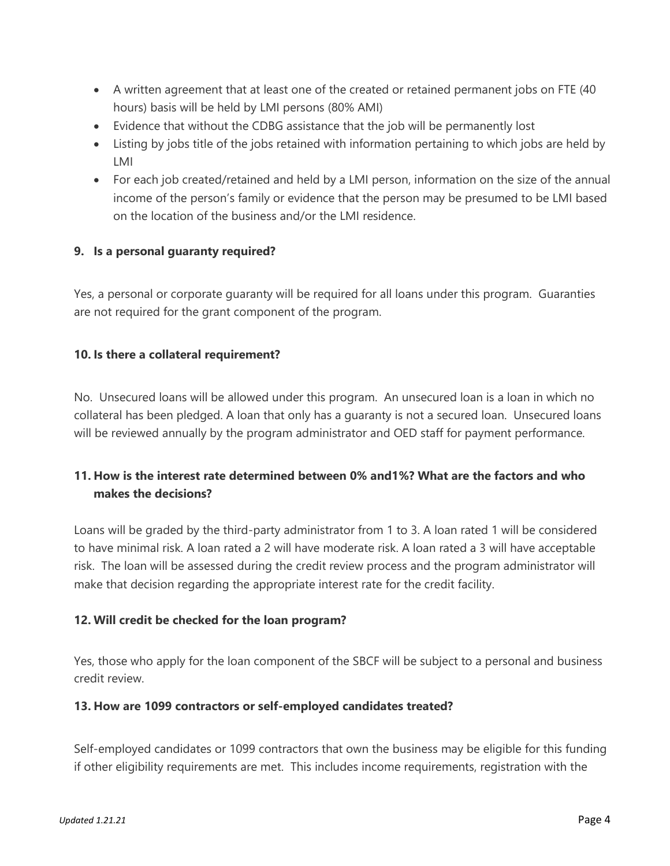- A written agreement that at least one of the created or retained permanent jobs on FTE (40 hours) basis will be held by LMI persons (80% AMI)
- Evidence that without the CDBG assistance that the job will be permanently lost
- Listing by jobs title of the jobs retained with information pertaining to which jobs are held by LMI
- For each job created/retained and held by a LMI person, information on the size of the annual income of the person's family or evidence that the person may be presumed to be LMI based on the location of the business and/or the LMI residence.

# **9. Is a personal guaranty required?**

Yes, a personal or corporate guaranty will be required for all loans under this program. Guaranties are not required for the grant component of the program.

# **10. Is there a collateral requirement?**

No. Unsecured loans will be allowed under this program. An unsecured loan is a loan in which no collateral has been pledged. A loan that only has a guaranty is not a secured loan. Unsecured loans will be reviewed annually by the program administrator and OED staff for payment performance.

# **11. How is the interest rate determined between 0% and1%? What are the factors and who makes the decisions?**

Loans will be graded by the third-party administrator from 1 to 3. A loan rated 1 will be considered to have minimal risk. A loan rated a 2 will have moderate risk. A loan rated a 3 will have acceptable risk. The loan will be assessed during the credit review process and the program administrator will make that decision regarding the appropriate interest rate for the credit facility.

# **12. Will credit be checked for the loan program?**

Yes, those who apply for the loan component of the SBCF will be subject to a personal and business credit review.

# **13. How are 1099 contractors or self-employed candidates treated?**

Self-employed candidates or 1099 contractors that own the business may be eligible for this funding if other eligibility requirements are met. This includes income requirements, registration with the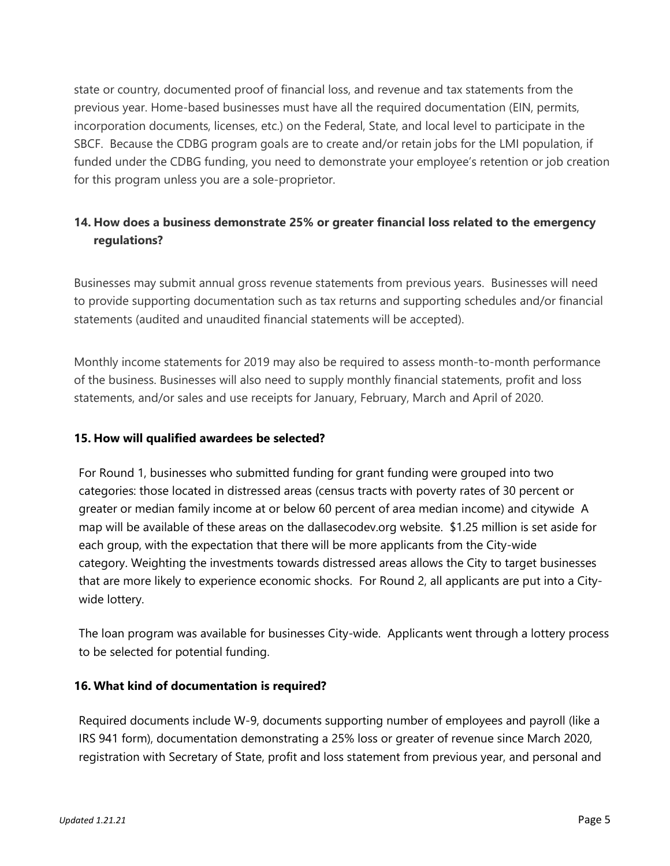state or country, documented proof of financial loss, and revenue and tax statements from the previous year. Home-based businesses must have all the required documentation (EIN, permits, incorporation documents, licenses, etc.) on the Federal, State, and local level to participate in the SBCF. Because the CDBG program goals are to create and/or retain jobs for the LMI population, if funded under the CDBG funding, you need to demonstrate your employee's retention or job creation for this program unless you are a sole-proprietor.

# **14. How does a business demonstrate 25% or greater financial loss related to the emergency regulations?**

Businesses may submit annual gross revenue statements from previous years. Businesses will need to provide supporting documentation such as tax returns and supporting schedules and/or financial statements (audited and unaudited financial statements will be accepted).

Monthly income statements for 2019 may also be required to assess month-to-month performance of the business. Businesses will also need to supply monthly financial statements, profit and loss statements, and/or sales and use receipts for January, February, March and April of 2020.

# **15. How will qualified awardees be selected?**

For Round 1, businesses who submitted funding for grant funding were grouped into two categories: those located in distressed areas (census tracts with poverty rates of 30 percent or greater or median family income at or below 60 percent of area median income) and citywide A map will be available of these areas on the dallasecodev.org website. \$1.25 million is set aside for each group, with the expectation that there will be more applicants from the City-wide category. Weighting the investments towards distressed areas allows the City to target businesses that are more likely to experience economic shocks. For Round 2, all applicants are put into a Citywide lottery.

The loan program was available for businesses City-wide. Applicants went through a lottery process to be selected for potential funding.

# **16. What kind of documentation is required?**

Required documents include W-9, documents supporting number of employees and payroll (like a IRS 941 form), documentation demonstrating a 25% loss or greater of revenue since March 2020, registration with Secretary of State, profit and loss statement from previous year, and personal and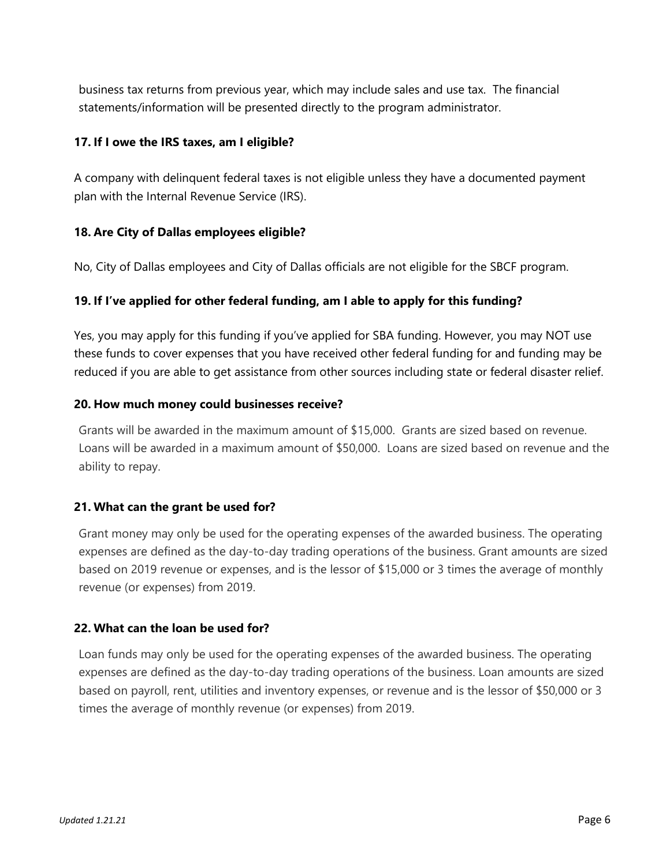business tax returns from previous year, which may include sales and use tax. The financial statements/information will be presented directly to the program administrator.

### **17. If I owe the IRS taxes, am I eligible?**

A company with delinquent federal taxes is not eligible unless they have a documented payment plan with the Internal Revenue Service (IRS).

#### **18. Are City of Dallas employees eligible?**

No, City of Dallas employees and City of Dallas officials are not eligible for the SBCF program.

### **19. If I've applied for other federal funding, am I able to apply for this funding?**

Yes, you may apply for this funding if you've applied for SBA funding. However, you may NOT use these funds to cover expenses that you have received other federal funding for and funding may be reduced if you are able to get assistance from other sources including state or federal disaster relief.

#### **20. How much money could businesses receive?**

Grants will be awarded in the maximum amount of \$15,000. Grants are sized based on revenue. Loans will be awarded in a maximum amount of \$50,000. Loans are sized based on revenue and the ability to repay.

#### **21. What can the grant be used for?**

Grant money may only be used for the operating expenses of the awarded business. The operating expenses are defined as the day-to-day trading operations of the business. Grant amounts are sized based on 2019 revenue or expenses, and is the lessor of \$15,000 or 3 times the average of monthly revenue (or expenses) from 2019.

### **22. What can the loan be used for?**

Loan funds may only be used for the operating expenses of the awarded business. The operating expenses are defined as the day-to-day trading operations of the business. Loan amounts are sized based on payroll, rent, utilities and inventory expenses, or revenue and is the lessor of \$50,000 or 3 times the average of monthly revenue (or expenses) from 2019.